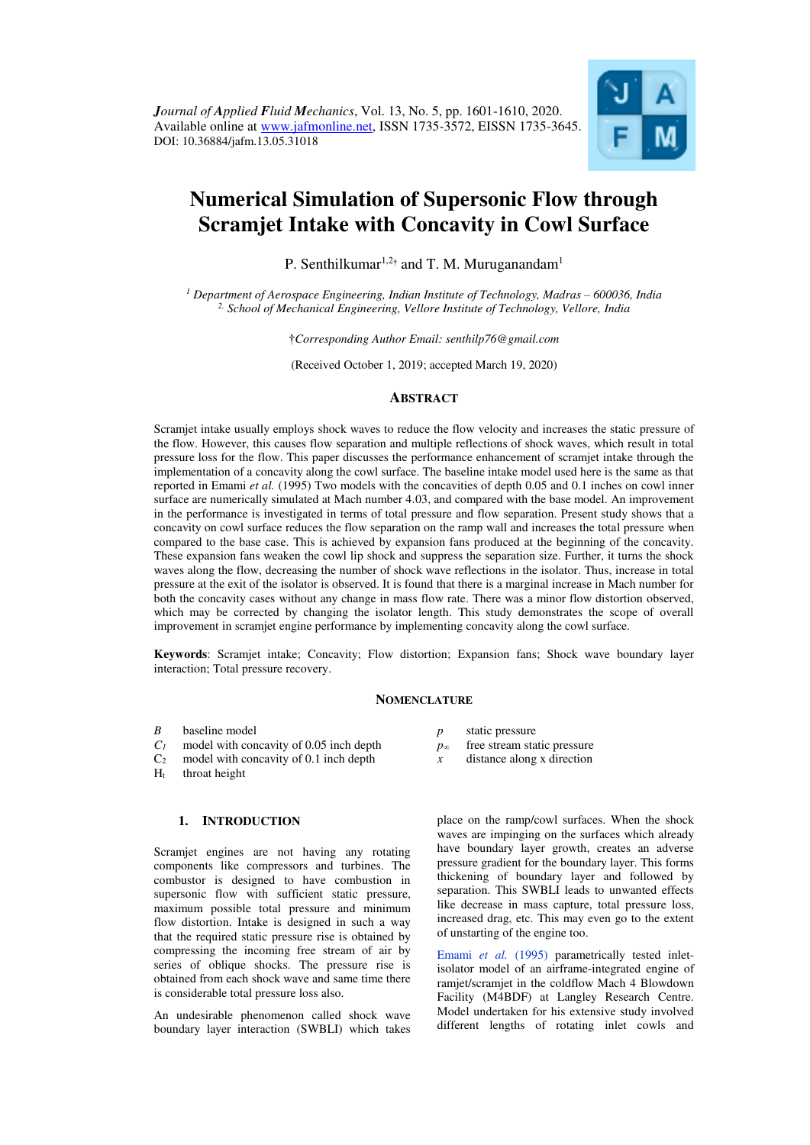

# **Numerical Simulation of Supersonic Flow through Scramjet Intake with Concavity in Cowl Surface**

P. Senthilkumar<sup>1,2†</sup> and T. M. Muruganandam<sup>1</sup>

<sup>1</sup> Department of Aerospace Engineering, Indian Institute of Technology, Madras – 600036, India *2. School of Mechanical Engineering, Vellore Institute of Technology, Vellore, India* 

†*Corresponding Author Email: senthilp76@gmail.com* 

(Received October 1, 2019; accepted March 19, 2020)

# **ABSTRACT**

Scramjet intake usually employs shock waves to reduce the flow velocity and increases the static pressure of the flow. However, this causes flow separation and multiple reflections of shock waves, which result in total pressure loss for the flow. This paper discusses the performance enhancement of scramjet intake through the implementation of a concavity along the cowl surface. The baseline intake model used here is the same as that reported in Emami *et al.* (1995) Two models with the concavities of depth 0.05 and 0.1 inches on cowl inner surface are numerically simulated at Mach number 4.03, and compared with the base model. An improvement in the performance is investigated in terms of total pressure and flow separation. Present study shows that a concavity on cowl surface reduces the flow separation on the ramp wall and increases the total pressure when compared to the base case. This is achieved by expansion fans produced at the beginning of the concavity. These expansion fans weaken the cowl lip shock and suppress the separation size. Further, it turns the shock waves along the flow, decreasing the number of shock wave reflections in the isolator. Thus, increase in total pressure at the exit of the isolator is observed. It is found that there is a marginal increase in Mach number for both the concavity cases without any change in mass flow rate. There was a minor flow distortion observed, which may be corrected by changing the isolator length. This study demonstrates the scope of overall improvement in scramjet engine performance by implementing concavity along the cowl surface.

**Keywords**: Scramjet intake; Concavity; Flow distortion; Expansion fans; Shock wave boundary layer interaction; Total pressure recovery.

## **NOMENCLATURE**

- *B* baseline model
- *C<sup>1</sup>* model with concavity of 0.05 inch depth
- C2 model with concavity of 0.1 inch depth
- $H_t$  throat height

## **1. INTRODUCTION**

Scramjet engines are not having any rotating components like compressors and turbines. The combustor is designed to have combustion in supersonic flow with sufficient static pressure, maximum possible total pressure and minimum flow distortion. Intake is designed in such a way that the required static pressure rise is obtained by compressing the incoming free stream of air by series of oblique shocks. The pressure rise is obtained from each shock wave and same time there is considerable total pressure loss also.

An undesirable phenomenon called shock wave boundary layer interaction (SWBLI) which takes

- *p* static pressure
- *p<sup>∞</sup>* free stream static pressure
- *x* distance along x direction

place on the ramp/cowl surfaces. When the shock waves are impinging on the surfaces which already have boundary layer growth, creates an adverse pressure gradient for the boundary layer. This forms thickening of boundary layer and followed by separation. This SWBLI leads to unwanted effects like decrease in mass capture, total pressure loss, increased drag, etc. This may even go to the extent of unstarting of the engine too.

Emami *et al.* [\(1995\)](#page-8-0) parametrically tested inletisolator model of an airframe-integrated engine of ramjet/scramjet in the coldflow Mach 4 Blowdown Facility (M4BDF) at Langley Research Centre. Model undertaken for his extensive study involved different lengths of rotating inlet cowls and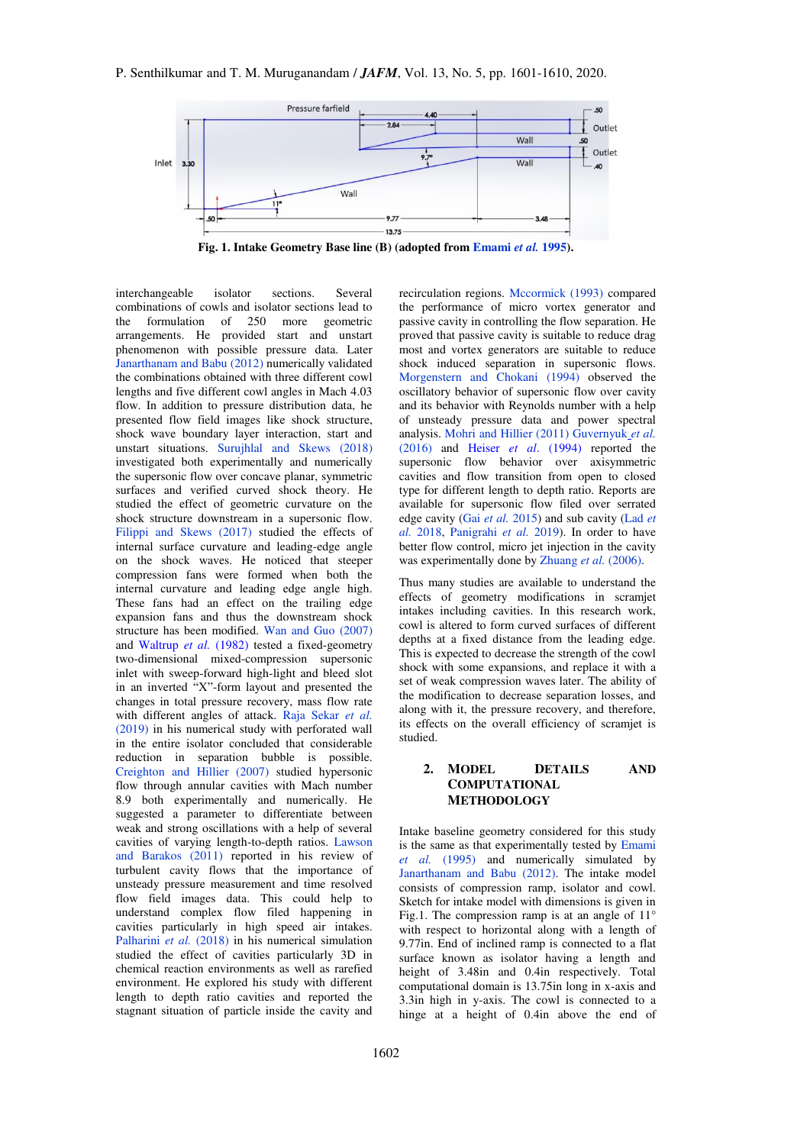

**Fig. 1. Intake Geometry Base line (B) (adopted from [Emami](#page-8-0)** *et al.* **1995).** 

interchangeable isolator sections. Several combinations of cowls and isolator sections lead to<br>the formulation of 250 more geometric formulation of 250 more geometric arrangements. He provided start and unstart phenomenon with possible pressure data. Later [Janarthanam and Babu \(2012\)](#page-9-0) numerically validated the combinations obtained with three different cowl lengths and five different cowl angles in Mach 4.03 flow. In addition to pressure distribution data, he presented flow field images like shock structure, shock wave boundary layer interaction, start and unstart situations. [Surujhlal and Skews \(2018\)](#page-9-1) investigated both experimentally and numerically the supersonic flow over concave planar, symmetric surfaces and verified curved shock theory. He studied the effect of geometric curvature on the shock structure downstream in a supersonic flow. [Filippi and Skews \(2017\)](#page-8-1) studied the effects of internal surface curvature and leading-edge angle on the shock waves. He noticed that steeper compression fans were formed when both the internal curvature and leading edge angle high. These fans had an effect on the trailing edge expansion fans and thus the downstream shock structure has been modified. [Wan and Guo \(2007\)](#page-9-2)  and [Waltrup](#page-9-3) *et al.* (1982) tested a fixed-geometry two-dimensional mixed-compression supersonic inlet with sweep-forward high-light and bleed slot in an inverted "X"-form layout and presented the changes in total pressure recovery, mass flow rate with different angles of attack. [Raja Sekar](#page-9-4) *et al.* [\(2019\)](#page-9-4) in his numerical study with perforated wall in the entire isolator concluded that considerable reduction in separation bubble is possible. [Creighton and Hillier \(2007\)](#page-8-2) studied hypersonic flow through annular cavities with Mach number 8.9 both experimentally and numerically. He suggested a parameter to differentiate between weak and strong oscillations with a help of several cavities of varying length-to-depth ratios. [Lawson](#page-9-5)  [and Barakos \(2011\)](#page-9-5) reported in his review of turbulent cavity flows that the importance of unsteady pressure measurement and time resolved flow field images data. This could help to understand complex flow filed happening in cavities particularly in high speed air intakes. [Palharini](#page-9-6) et al. (2018) in his numerical simulation studied the effect of cavities particularly 3D in chemical reaction environments as well as rarefied environment. He explored his study with different length to depth ratio cavities and reported the stagnant situation of particle inside the cavity and

recirculation regions. [Mccormick \(1993\)](#page-9-7) compared the performance of micro vortex generator and passive cavity in controlling the flow separation. He proved that passive cavity is suitable to reduce drag most and vortex generators are suitable to reduce shock induced separation in supersonic flows. [Morgenstern and Chokani \(1994\)](#page-9-8) observed the oscillatory behavior of supersonic flow over cavity and its behavior with Reynolds number with a help of unsteady pressure data and power spectral analysis. [Mohri and Hillier \(2011\)](#page-9-9) [Guvernyuk](#page-8-3) *et al.* [\(2016\)](#page-8-3) and Heiser *et al*[. \(1994\)](#page-9-10) reported the supersonic flow behavior over axisymmetric cavities and flow transition from open to closed type for different length to depth ratio. Reports are available for supersonic flow filed over serrated edge cavity (Gai *et al.* [2015\)](#page-8-4) and sub cavity [\(Lad](#page-9-11) *et al.* [2018,](#page-9-11) [Panigrahi](#page-9-12) *et al.* 2019). In order to have better flow control, micro jet injection in the cavity was experimentally done by [Zhuang](#page-9-13) et al. (2006).

Thus many studies are available to understand the effects of geometry modifications in scramjet intakes including cavities. In this research work, cowl is altered to form curved surfaces of different depths at a fixed distance from the leading edge. This is expected to decrease the strength of the cowl shock with some expansions, and replace it with a set of weak compression waves later. The ability of the modification to decrease separation losses, and along with it, the pressure recovery, and therefore, its effects on the overall efficiency of scramjet is studied.

# **2. MODEL DETAILS AND COMPUTATIONAL METHODOLOGY**

Intake baseline geometry considered for this study is the same as that experimentally tested by [Emami](#page-8-0)  *et al.* [\(1995\)](#page-8-0) and numerically simulated by [Janarthanam and Babu \(2012\).](#page-9-0) The intake model consists of compression ramp, isolator and cowl. Sketch for intake model with dimensions is given in Fig.1. The compression ramp is at an angle of  $11^{\circ}$ with respect to horizontal along with a length of 9.77in. End of inclined ramp is connected to a flat surface known as isolator having a length and height of 3.48in and 0.4in respectively. Total computational domain is 13.75in long in x-axis and 3.3in high in y-axis. The cowl is connected to a hinge at a height of 0.4in above the end of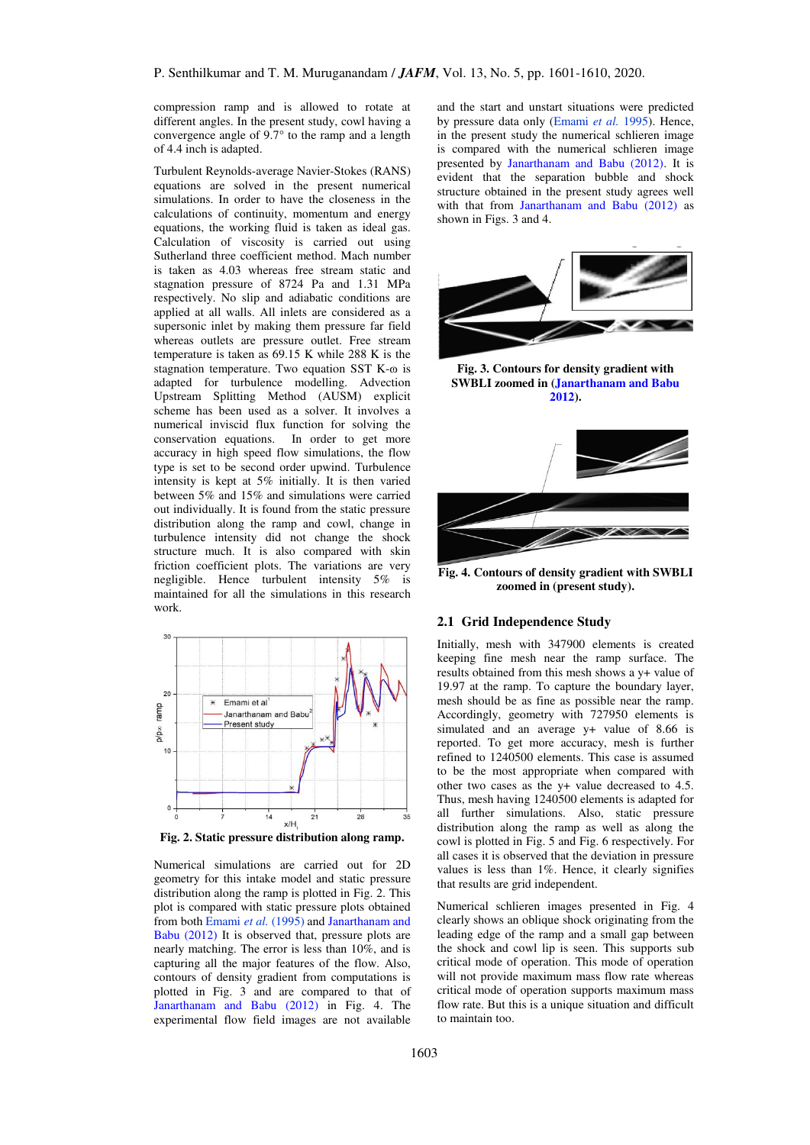compression ramp and is allowed to rotate at different angles. In the present study, cowl having a convergence angle of 9.7° to the ramp and a length of 4.4 inch is adapted.

Turbulent Reynolds-average Navier-Stokes (RANS) equations are solved in the present numerical simulations. In order to have the closeness in the calculations of continuity, momentum and energy equations, the working fluid is taken as ideal gas. Calculation of viscosity is carried out using Sutherland three coefficient method. Mach number is taken as 4.03 whereas free stream static and stagnation pressure of 8724 Pa and 1.31 MPa respectively. No slip and adiabatic conditions are applied at all walls. All inlets are considered as a supersonic inlet by making them pressure far field whereas outlets are pressure outlet. Free stream temperature is taken as 69.15 K while 288 K is the stagnation temperature. Two equation SST K- $\omega$  is adapted for turbulence modelling. Advection Upstream Splitting Method (AUSM) explicit scheme has been used as a solver. It involves a numerical inviscid flux function for solving the conservation equations. In order to get more accuracy in high speed flow simulations, the flow type is set to be second order upwind. Turbulence intensity is kept at 5% initially. It is then varied between 5% and 15% and simulations were carried out individually. It is found from the static pressure distribution along the ramp and cowl, change in turbulence intensity did not change the shock structure much. It is also compared with skin friction coefficient plots. The variations are very negligible. Hence turbulent intensity 5% is maintained for all the simulations in this research work.



**Fig. 2. Static pressure distribution along ramp.** 

Numerical simulations are carried out for 2D geometry for this intake model and static pressure distribution along the ramp is plotted in Fig. 2. This plot is compared with static pressure plots obtained from bot[h Emami](#page-8-0) *et al.* (1995) and [Janarthanam and](#page-9-0)  [Babu \(2012\)](#page-9-0) It is observed that, pressure plots are nearly matching. The error is less than 10%, and is capturing all the major features of the flow. Also, contours of density gradient from computations is plotted in Fig. 3 and are compared to that of [Janarthanam and Babu \(2012\)](#page-9-0) in Fig. 4. The experimental flow field images are not available

and the start and unstart situations were predicted by pressure data only [\(Emami](#page-8-0) *et al.* 1995). Hence, in the present study the numerical schlieren image is compared with the numerical schlieren image presented by [Janarthanam and Babu \(2012\).](#page-9-0) It is evident that the separation bubble and shock structure obtained in the present study agrees well with that from [Janarthanam and Babu \(2012\)](#page-9-0) as shown in Figs. 3 and 4.



**Fig. 3. Contours for density gradient with SWBLI zoomed in [\(Janarthanam and Babu](#page-9-0)  [2012\)](#page-9-0).** 



**Fig. 4. Contours of density gradient with SWBLI zoomed in (present study).**

## **2.1 Grid Independence Study**

Initially, mesh with 347900 elements is created keeping fine mesh near the ramp surface. The results obtained from this mesh shows a y+ value of 19.97 at the ramp. To capture the boundary layer, mesh should be as fine as possible near the ramp. Accordingly, geometry with 727950 elements is simulated and an average y+ value of 8.66 is reported. To get more accuracy, mesh is further refined to 1240500 elements. This case is assumed to be the most appropriate when compared with other two cases as the y+ value decreased to 4.5. Thus, mesh having 1240500 elements is adapted for all further simulations. Also, static pressure distribution along the ramp as well as along the cowl is plotted in Fig. 5 and Fig. 6 respectively. For all cases it is observed that the deviation in pressure values is less than 1%. Hence, it clearly signifies that results are grid independent.

Numerical schlieren images presented in Fig. 4 clearly shows an oblique shock originating from the leading edge of the ramp and a small gap between the shock and cowl lip is seen. This supports sub critical mode of operation. This mode of operation will not provide maximum mass flow rate whereas critical mode of operation supports maximum mass flow rate. But this is a unique situation and difficult to maintain too.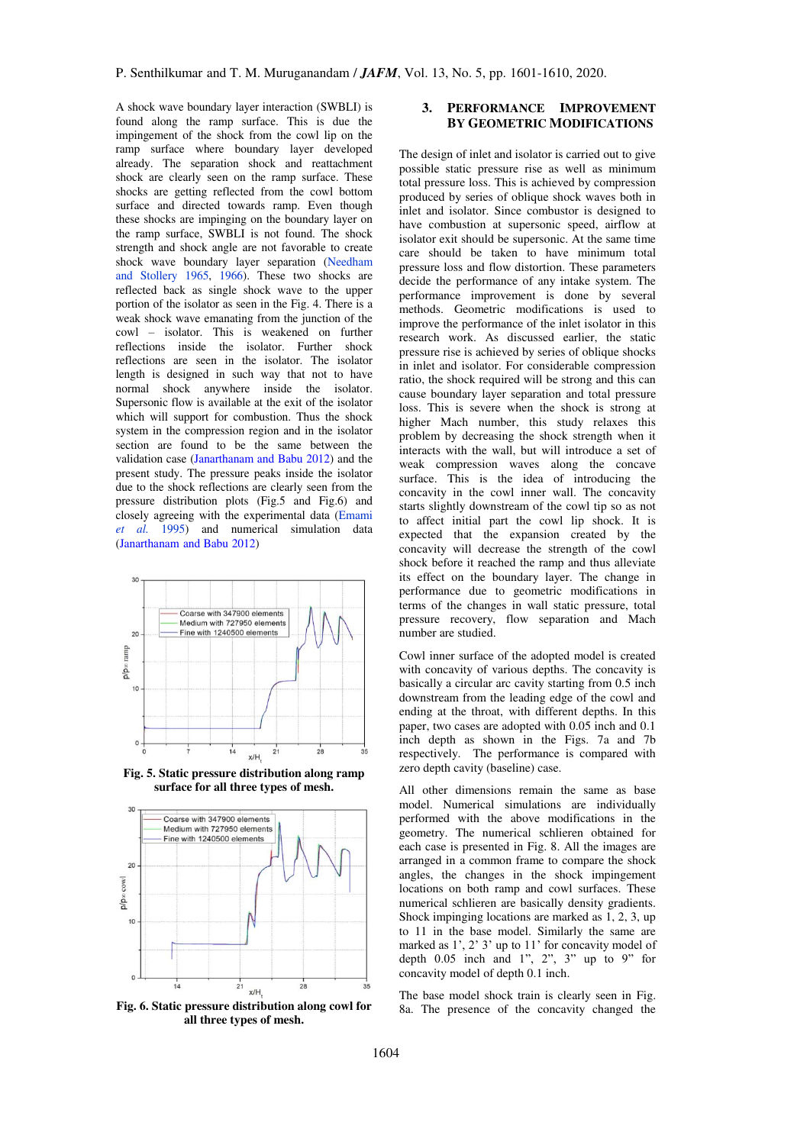A shock wave boundary layer interaction (SWBLI) is found along the ramp surface. This is due the impingement of the shock from the cowl lip on the ramp surface where boundary layer developed already. The separation shock and reattachment shock are clearly seen on the ramp surface. These shocks are getting reflected from the cowl bottom surface and directed towards ramp. Even though these shocks are impinging on the boundary layer on the ramp surface, SWBLI is not found. The shock strength and shock angle are not favorable to create shock wave boundary layer separation [\(Needham](#page-9-14)  [and Stollery 1965, 1966\)](#page-9-14). These two shocks are reflected back as single shock wave to the upper portion of the isolator as seen in the Fig. 4. There is a weak shock wave emanating from the junction of the cowl – isolator. This is weakened on further reflections inside the isolator. Further shock reflections are seen in the isolator. The isolator length is designed in such way that not to have normal shock anywhere inside the isolator. Supersonic flow is available at the exit of the isolator which will support for combustion. Thus the shock system in the compression region and in the isolator section are found to be the same between the validation case [\(Janarthanam and Babu 2012\)](#page-9-0) and the present study. The pressure peaks inside the isolator due to the shock reflections are clearly seen from the pressure distribution plots (Fig.5 and Fig.6) and closely agreeing with the experimental data [\(Emami](#page-8-0)  *[et al.](#page-8-0)* 1995) and numerical simulation data [\(Janarthanam and Babu 2012\)](#page-9-0)



**Fig. 5. Static pressure distribution along ramp surface for all three types of mesh.** 



**Fig. 6. Static pressure distribution along cowl for all three types of mesh.** 

# **3. PERFORMANCE IMPROVEMENT BY GEOMETRIC MODIFICATIONS**

The design of inlet and isolator is carried out to give possible static pressure rise as well as minimum total pressure loss. This is achieved by compression produced by series of oblique shock waves both in inlet and isolator. Since combustor is designed to have combustion at supersonic speed, airflow at isolator exit should be supersonic. At the same time care should be taken to have minimum total pressure loss and flow distortion. These parameters decide the performance of any intake system. The performance improvement is done by several methods. Geometric modifications is used to improve the performance of the inlet isolator in this research work. As discussed earlier, the static pressure rise is achieved by series of oblique shocks in inlet and isolator. For considerable compression ratio, the shock required will be strong and this can cause boundary layer separation and total pressure loss. This is severe when the shock is strong at higher Mach number, this study relaxes this problem by decreasing the shock strength when it interacts with the wall, but will introduce a set of weak compression waves along the concave surface. This is the idea of introducing the concavity in the cowl inner wall. The concavity starts slightly downstream of the cowl tip so as not to affect initial part the cowl lip shock. It is expected that the expansion created by the concavity will decrease the strength of the cowl shock before it reached the ramp and thus alleviate its effect on the boundary layer. The change in performance due to geometric modifications in terms of the changes in wall static pressure, total pressure recovery, flow separation and Mach number are studied.

Cowl inner surface of the adopted model is created with concavity of various depths. The concavity is basically a circular arc cavity starting from 0.5 inch downstream from the leading edge of the cowl and ending at the throat, with different depths. In this paper, two cases are adopted with 0.05 inch and 0.1 inch depth as shown in the Figs. 7a and 7b respectively. The performance is compared with zero depth cavity (baseline) case.

All other dimensions remain the same as base model. Numerical simulations are individually performed with the above modifications in the geometry. The numerical schlieren obtained for each case is presented in Fig. 8. All the images are arranged in a common frame to compare the shock angles, the changes in the shock impingement locations on both ramp and cowl surfaces. These numerical schlieren are basically density gradients. Shock impinging locations are marked as 1, 2, 3, up to 11 in the base model. Similarly the same are marked as 1', 2' 3' up to 11' for concavity model of depth  $0.05$  inch and  $1$ ",  $2$ ",  $3$ " up to  $9$ " for concavity model of depth 0.1 inch.

The base model shock train is clearly seen in Fig. 8a. The presence of the concavity changed the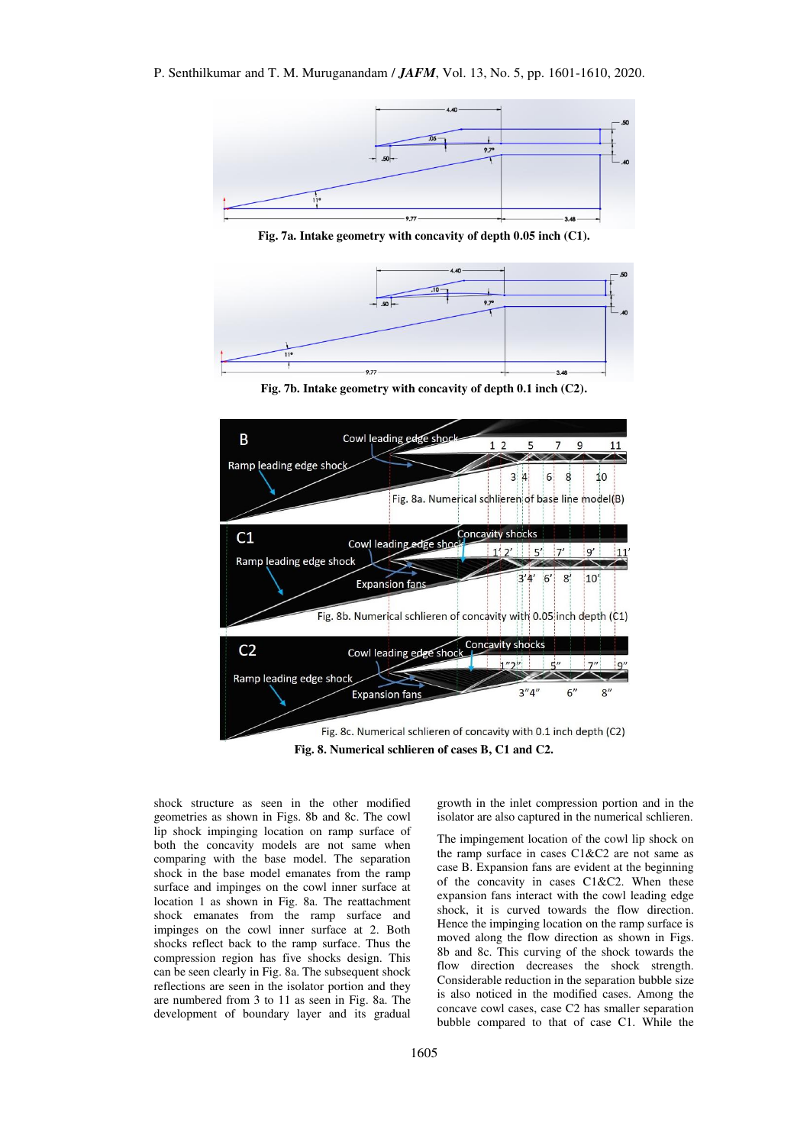

**Fig. 7a. Intake geometry with concavity of depth 0.05 inch (C1).** 



**Fig. 7b. Intake geometry with concavity of depth 0.1 inch (C2).** 



shock structure as seen in the other modified geometries as shown in Figs. 8b and 8c. The cowl lip shock impinging location on ramp surface of both the concavity models are not same when comparing with the base model. The separation shock in the base model emanates from the ramp surface and impinges on the cowl inner surface at location 1 as shown in Fig. 8a. The reattachment shock emanates from the ramp surface and impinges on the cowl inner surface at 2. Both shocks reflect back to the ramp surface. Thus the compression region has five shocks design. This can be seen clearly in Fig. 8a. The subsequent shock reflections are seen in the isolator portion and they are numbered from 3 to 11 as seen in Fig. 8a. The development of boundary layer and its gradual

growth in the inlet compression portion and in the isolator are also captured in the numerical schlieren.

The impingement location of the cowl lip shock on the ramp surface in cases C1&C2 are not same as case B. Expansion fans are evident at the beginning of the concavity in cases C1&C2. When these expansion fans interact with the cowl leading edge shock, it is curved towards the flow direction. Hence the impinging location on the ramp surface is moved along the flow direction as shown in Figs. 8b and 8c. This curving of the shock towards the flow direction decreases the shock strength. Considerable reduction in the separation bubble size is also noticed in the modified cases. Among the concave cowl cases, case C2 has smaller separation bubble compared to that of case C1. While the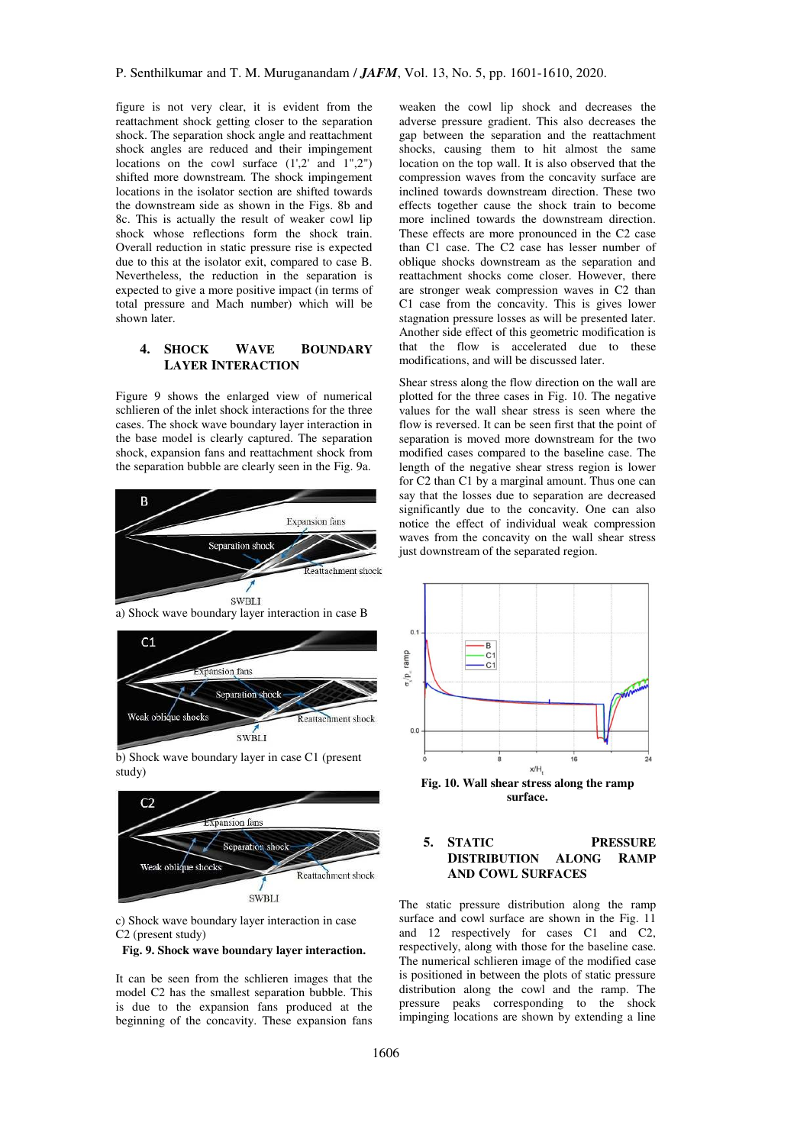figure is not very clear, it is evident from the reattachment shock getting closer to the separation shock. The separation shock angle and reattachment shock angles are reduced and their impingement locations on the cowl surface  $(1',2'$  and  $1'',2'')$ shifted more downstream. The shock impingement locations in the isolator section are shifted towards the downstream side as shown in the Figs. 8b and 8c. This is actually the result of weaker cowl lip shock whose reflections form the shock train. Overall reduction in static pressure rise is expected due to this at the isolator exit, compared to case B. Nevertheless, the reduction in the separation is expected to give a more positive impact (in terms of total pressure and Mach number) which will be shown later.

# **4. SHOCK WAVE BOUNDARY LAYER INTERACTION**

Figure 9 shows the enlarged view of numerical schlieren of the inlet shock interactions for the three cases. The shock wave boundary layer interaction in the base model is clearly captured. The separation shock, expansion fans and reattachment shock from the separation bubble are clearly seen in the Fig. 9a.





b) Shock wave boundary layer in case C1 (present study)



c) Shock wave boundary layer interaction in case C2 (present study)

#### **Fig. 9. Shock wave boundary layer interaction.**

It can be seen from the schlieren images that the model C2 has the smallest separation bubble. This is due to the expansion fans produced at the beginning of the concavity. These expansion fans

weaken the cowl lip shock and decreases the adverse pressure gradient. This also decreases the gap between the separation and the reattachment shocks, causing them to hit almost the same location on the top wall. It is also observed that the compression waves from the concavity surface are inclined towards downstream direction. These two effects together cause the shock train to become more inclined towards the downstream direction. These effects are more pronounced in the C2 case than C1 case. The C2 case has lesser number of oblique shocks downstream as the separation and reattachment shocks come closer. However, there are stronger weak compression waves in C2 than C1 case from the concavity. This is gives lower stagnation pressure losses as will be presented later. Another side effect of this geometric modification is that the flow is accelerated due to these modifications, and will be discussed later.

Shear stress along the flow direction on the wall are plotted for the three cases in Fig. 10. The negative values for the wall shear stress is seen where the flow is reversed. It can be seen first that the point of separation is moved more downstream for the two modified cases compared to the baseline case. The length of the negative shear stress region is lower for C2 than C1 by a marginal amount. Thus one can say that the losses due to separation are decreased significantly due to the concavity. One can also notice the effect of individual weak compression waves from the concavity on the wall shear stress just downstream of the separated region.



**surface.** 

# **5. STATIC PRESSURE DISTRIBUTION ALONG RAMP AND COWL SURFACES**

The static pressure distribution along the ramp surface and cowl surface are shown in the Fig. 11 and 12 respectively for cases C1 and C2, respectively, along with those for the baseline case. The numerical schlieren image of the modified case is positioned in between the plots of static pressure distribution along the cowl and the ramp. The pressure peaks corresponding to the shock impinging locations are shown by extending a line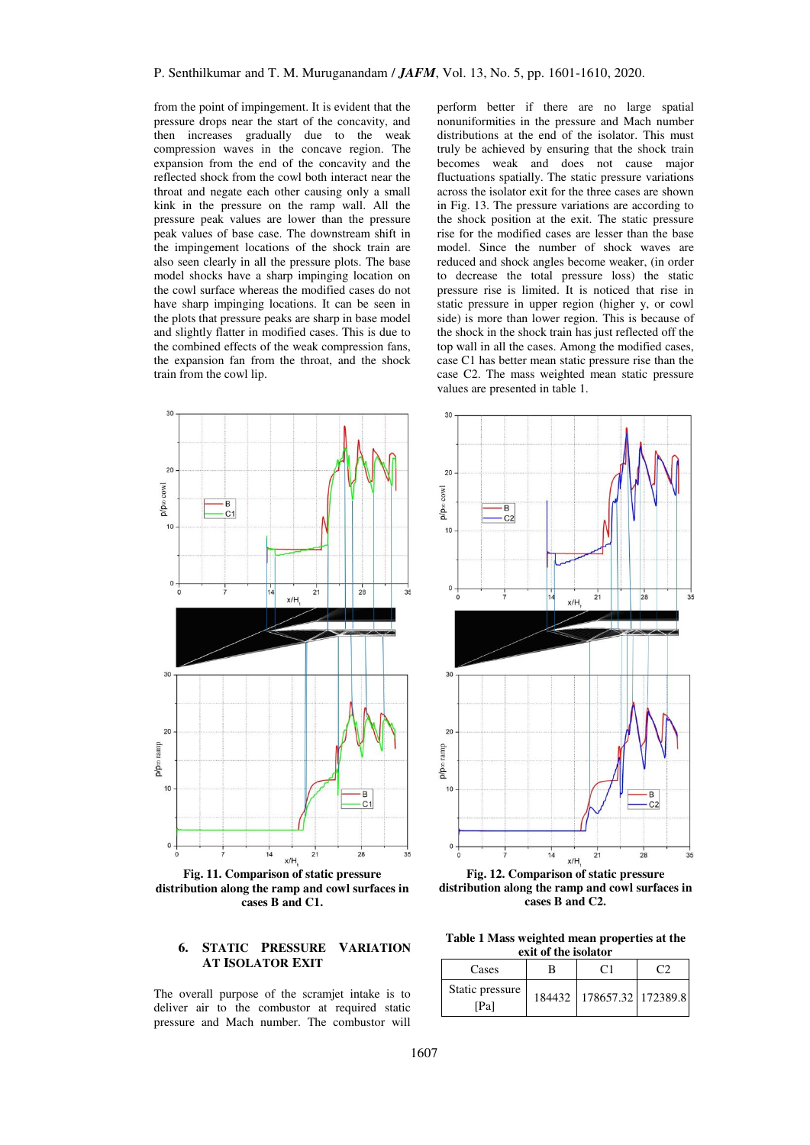from the point of impingement. It is evident that the pressure drops near the start of the concavity, and then increases gradually due to the weak compression waves in the concave region. The expansion from the end of the concavity and the reflected shock from the cowl both interact near the throat and negate each other causing only a small kink in the pressure on the ramp wall. All the pressure peak values are lower than the pressure peak values of base case. The downstream shift in the impingement locations of the shock train are also seen clearly in all the pressure plots. The base model shocks have a sharp impinging location on the cowl surface whereas the modified cases do not have sharp impinging locations. It can be seen in the plots that pressure peaks are sharp in base model and slightly flatter in modified cases. This is due to the combined effects of the weak compression fans, the expansion fan from the throat, and the shock train from the cowl lip.



**Fig. 11. Comparison of static pressure distribution along the ramp and cowl surfaces in cases B and C1.** 

## **6. STATIC PRESSURE VARIATION AT ISOLATOR EXIT**

The overall purpose of the scramjet intake is to deliver air to the combustor at required static pressure and Mach number. The combustor will perform better if there are no large spatial nonuniformities in the pressure and Mach number distributions at the end of the isolator. This must truly be achieved by ensuring that the shock train becomes weak and does not cause major fluctuations spatially. The static pressure variations across the isolator exit for the three cases are shown in Fig. 13. The pressure variations are according to the shock position at the exit. The static pressure rise for the modified cases are lesser than the base model. Since the number of shock waves are reduced and shock angles become weaker, (in order to decrease the total pressure loss) the static pressure rise is limited. It is noticed that rise in static pressure in upper region (higher y, or cowl side) is more than lower region. This is because of the shock in the shock train has just reflected off the top wall in all the cases. Among the modified cases, case C1 has better mean static pressure rise than the case C2. The mass weighted mean static pressure values are presented in table 1.



**Fig. 12. Comparison of static pressure distribution along the ramp and cowl surfaces in cases B and C2.** 

**Table 1 Mass weighted mean properties at the exit of the isolator** 

| Cases                   | CΠ                            |  |
|-------------------------|-------------------------------|--|
| Static pressure<br>[Pa] | 184432   178657.32   172389.8 |  |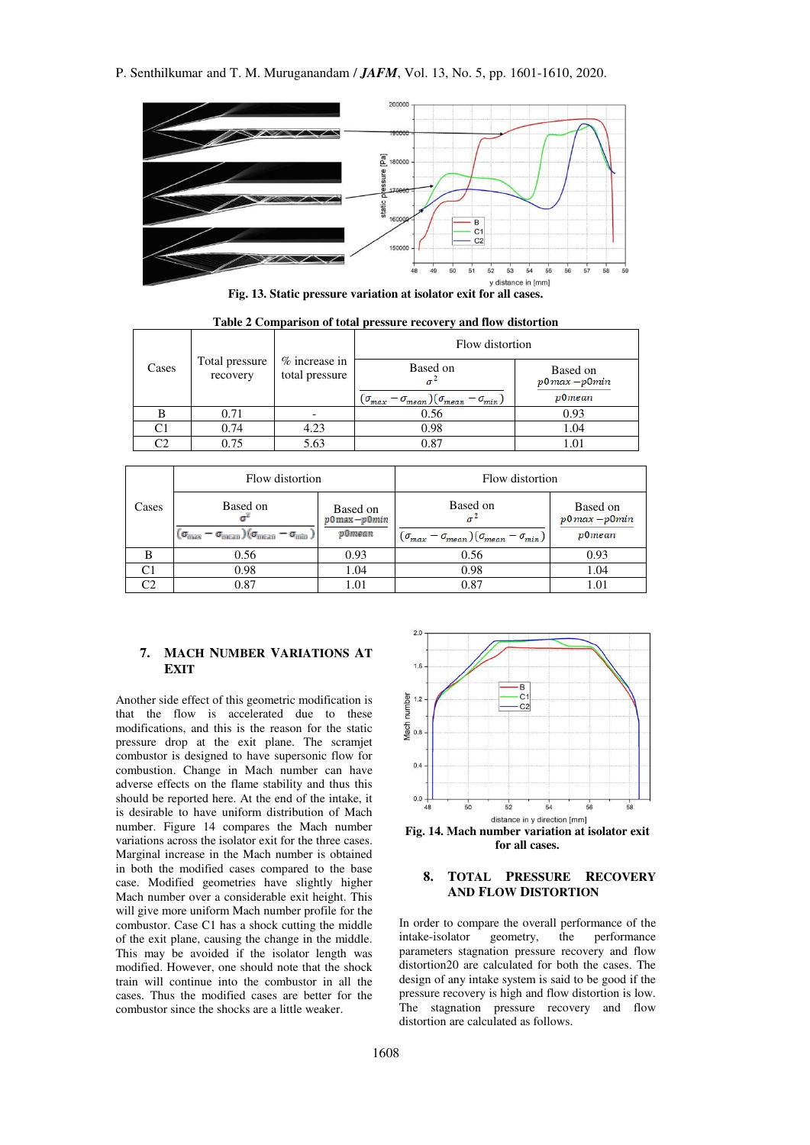P. Senthilkumar and T. M. Muruganandam / *JAFM*, Vol. 13, No. 5, pp. 1601-1610, 2020.



**Fig. 13. Static pressure variation at isolator exit for all cases.**

|       |                            |                                 | Flow distortion                                                                 |                                             |  |
|-------|----------------------------|---------------------------------|---------------------------------------------------------------------------------|---------------------------------------------|--|
| Cases | Total pressure<br>recovery | % increase in<br>total pressure | Based on<br>$(\sigma_{mean})(\sigma_{mean} - \sigma_{min})$<br>$(\sigma_{max})$ | Based on<br>$p0$ max $-p0$ min<br>$p0$ mean |  |
| в     | 0.71                       |                                 | 0.56                                                                            | 0.93                                        |  |
| C1    | 0.74                       | 4.23                            | 0.98                                                                            | 1.04                                        |  |
| C2    | 0.75                       | 5.63                            | 0.87                                                                            | 1.01                                        |  |

**Table 2 Comparison of total pressure recovery and flow distortion** 

|       | Flow distortion                                                                        |                                          | Flow distortion                                                            |                                              |
|-------|----------------------------------------------------------------------------------------|------------------------------------------|----------------------------------------------------------------------------|----------------------------------------------|
| Cases | Based on<br>$(\sigma_{\rm max}-\sigma_{\rm mean})(\sigma_{\rm mean}-\sigma_{\rm min})$ | Based on<br>$p0$ max $-p0$ min<br>p0mean | Based on<br>$(\sigma_{max} - \sigma_{mean})(\sigma_{mean} - \sigma_{min})$ | Based on<br>$p0$ max $-p0$ min<br>$p$ 0 mean |
|       | 0.56                                                                                   | 0.93                                     | 0.56                                                                       | 0.93                                         |
|       | 0.98                                                                                   | 1.04                                     | 0.98                                                                       | 1.04                                         |
| ⌒∩    | 0.87                                                                                   | 1.01                                     | 0.87                                                                       | 1.01                                         |

# **7. MACH NUMBER VARIATIONS AT EXIT**

Another side effect of this geometric modification is that the flow is accelerated due to these modifications, and this is the reason for the static pressure drop at the exit plane. The scramjet combustor is designed to have supersonic flow for combustion. Change in Mach number can have adverse effects on the flame stability and thus this should be reported here. At the end of the intake, it is desirable to have uniform distribution of Mach number. Figure 14 compares the Mach number variations across the isolator exit for the three cases. Marginal increase in the Mach number is obtained in both the modified cases compared to the base case. Modified geometries have slightly higher Mach number over a considerable exit height. This will give more uniform Mach number profile for the combustor. Case C1 has a shock cutting the middle of the exit plane, causing the change in the middle. This may be avoided if the isolator length was modified. However, one should note that the shock train will continue into the combustor in all the cases. Thus the modified cases are better for the combustor since the shocks are a little weaker.



**for all cases.** 

## **8. TOTAL PRESSURE RECOVERY AND FLOW DISTORTION**

In order to compare the overall performance of the intake-isolator geometry, the performance intake-isolator geometry, the parameters stagnation pressure recovery and flow distortion20 are calculated for both the cases. The design of any intake system is said to be good if the pressure recovery is high and flow distortion is low. The stagnation pressure recovery and flow distortion are calculated as follows.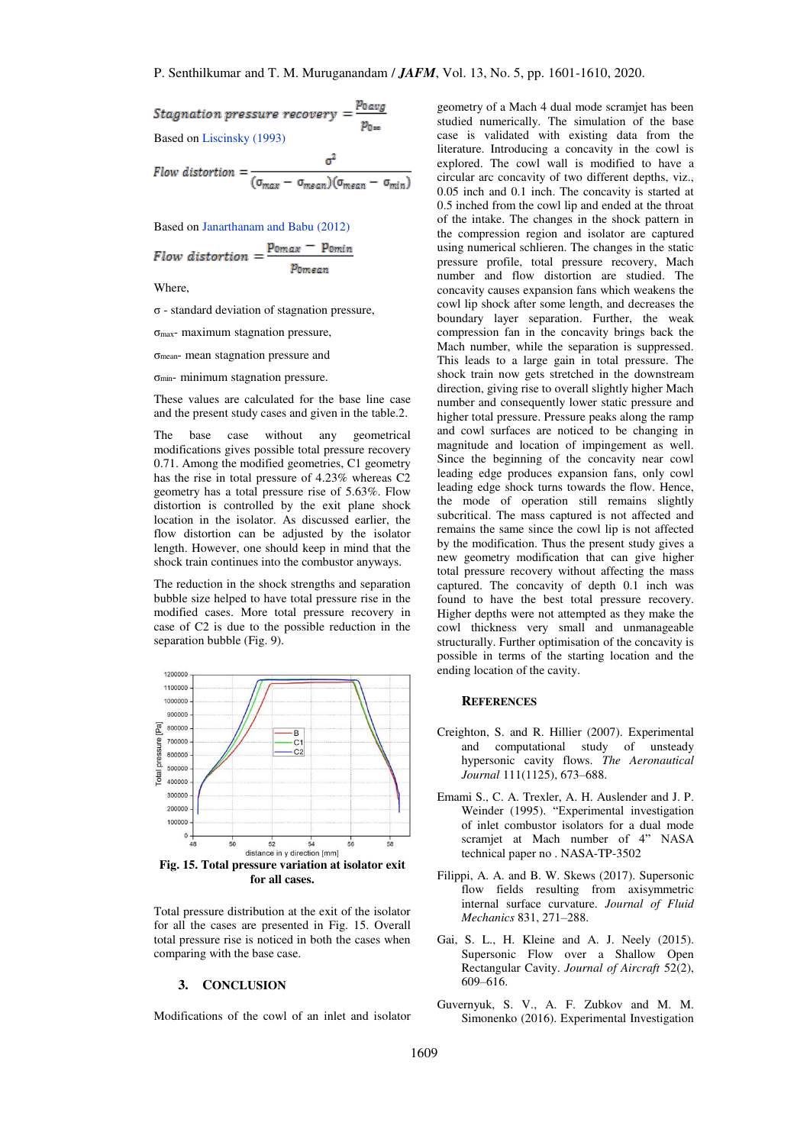Stagnation pressure recovery 
$$
=
$$
  $\frac{p_{0avg}}{p_{0\infty}}$   
Based on Liscinsky (1993)

Flow distortion = 
$$
\frac{1}{(\sigma_{max} - \sigma_{mean})(\sigma_{mean} - \sigma_{min})}
$$

Based o[n Janarthanam and Babu \(2012\)](#page-9-0) 

Flow distortion = 
$$
\frac{p_{0max} - p_{0min}}{p_{0mean}}
$$

**Where** 

σ - standard deviation of stagnation pressure,

σmax- maximum stagnation pressure,

σmean- mean stagnation pressure and

 $\sigma_{\text{min}}$ - minimum stagnation pressure.

These values are calculated for the base line case and the present study cases and given in the table.2.

The base case without any geometrical modifications gives possible total pressure recovery 0.71. Among the modified geometries, C1 geometry has the rise in total pressure of 4.23% whereas C2 geometry has a total pressure rise of 5.63%. Flow distortion is controlled by the exit plane shock location in the isolator. As discussed earlier, the flow distortion can be adjusted by the isolator length. However, one should keep in mind that the shock train continues into the combustor anyways.

The reduction in the shock strengths and separation bubble size helped to have total pressure rise in the modified cases. More total pressure recovery in case of C2 is due to the possible reduction in the separation bubble (Fig. 9).



Total pressure distribution at the exit of the isolator for all the cases are presented in Fig. 15. Overall total pressure rise is noticed in both the cases when comparing with the base case.

#### **3. CONCLUSION**

Modifications of the cowl of an inlet and isolator

geometry of a Mach 4 dual mode scramjet has been studied numerically. The simulation of the base case is validated with existing data from the literature. Introducing a concavity in the cowl is explored. The cowl wall is modified to have a circular arc concavity of two different depths, viz., 0.05 inch and 0.1 inch. The concavity is started at 0.5 inched from the cowl lip and ended at the throat of the intake. The changes in the shock pattern in the compression region and isolator are captured using numerical schlieren. The changes in the static pressure profile, total pressure recovery, Mach number and flow distortion are studied. The concavity causes expansion fans which weakens the cowl lip shock after some length, and decreases the boundary layer separation. Further, the weak compression fan in the concavity brings back the Mach number, while the separation is suppressed. This leads to a large gain in total pressure. The shock train now gets stretched in the downstream direction, giving rise to overall slightly higher Mach number and consequently lower static pressure and higher total pressure. Pressure peaks along the ramp and cowl surfaces are noticed to be changing in magnitude and location of impingement as well. Since the beginning of the concavity near cowl leading edge produces expansion fans, only cowl leading edge shock turns towards the flow. Hence, the mode of operation still remains slightly subcritical. The mass captured is not affected and remains the same since the cowl lip is not affected by the modification. Thus the present study gives a new geometry modification that can give higher total pressure recovery without affecting the mass captured. The concavity of depth 0.1 inch was found to have the best total pressure recovery. Higher depths were not attempted as they make the cowl thickness very small and unmanageable structurally. Further optimisation of the concavity is possible in terms of the starting location and the ending location of the cavity.

#### **REFERENCES**

- <span id="page-8-2"></span>Creighton, S. and R. Hillier (2007). Experimental and computational study of unsteady hypersonic cavity flows. *The Aeronautical Journal* 111(1125), 673–688.
- <span id="page-8-0"></span>Emami S., C. A. Trexler, A. H. Auslender and J. P. Weinder (1995). "Experimental investigation of inlet combustor isolators for a dual mode scramjet at Mach number of 4" NASA technical paper no . NASA-TP-3502
- <span id="page-8-1"></span>Filippi, A. A. and B. W. Skews (2017). Supersonic flow fields resulting from axisymmetric internal surface curvature. *Journal of Fluid Mechanics* 831, 271–288.
- <span id="page-8-4"></span>Gai, S. L., H. Kleine and A. J. Neely (2015). Supersonic Flow over a Shallow Open Rectangular Cavity. *Journal of Aircraft* 52(2), 609–616.
- <span id="page-8-3"></span>Guvernyuk, S. V., A. F. Zubkov and M. M. Simonenko (2016). Experimental Investigation